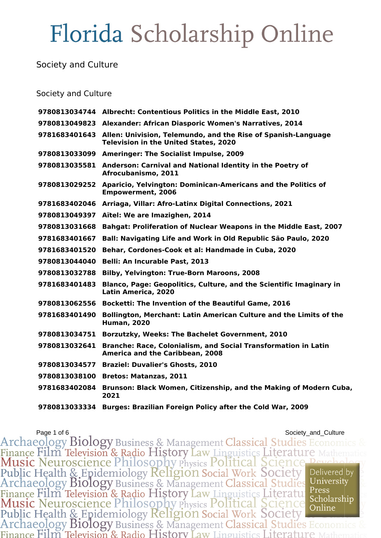Society and Culture

#### Society and Culture

|               | 9780813034744 Albrecht: Contentious Politics in the Middle East, 2010                                                       |
|---------------|-----------------------------------------------------------------------------------------------------------------------------|
|               | 9780813049823 Alexander: African Diasporic Women's Narratives, 2014                                                         |
|               | 9781683401643 Allen: Univision, Telemundo, and the Rise of Spanish-Language<br><b>Television in the United States, 2020</b> |
|               | 9780813033099 Ameringer: The Socialist Impulse, 2009                                                                        |
|               | 9780813035581 Anderson: Carnival and National Identity in the Poetry of<br>Afrocubanismo, 2011                              |
| 9780813029252 | Aparicio, Yelvington: Dominican-Americans and the Politics of<br><b>Empowerment, 2006</b>                                   |
|               | 9781683402046 Arriaga, Villar: Afro-Latinx Digital Connections, 2021                                                        |
| 9780813049397 | Aïtel: We are Imazighen, 2014                                                                                               |
| 9780813031668 | <b>Bahgat: Proliferation of Nuclear Weapons in the Middle East, 2007</b>                                                    |
| 9781683401667 | Ball: Navigating Life and Work in Old Republic São Paulo, 2020                                                              |
| 9781683401520 | Behar, Cordones-Cook et al: Handmade in Cuba, 2020                                                                          |
| 9780813044040 | <b>Belli: An Incurable Past, 2013</b>                                                                                       |
| 9780813032788 | <b>Bilby, Yelvington: True-Born Maroons, 2008</b>                                                                           |
| 9781683401483 | <b>Blanco, Page: Geopolitics, Culture, and the Scientific Imaginary in</b><br>Latin America, 2020                           |
| 9780813062556 | <b>Bocketti: The Invention of the Beautiful Game, 2016</b>                                                                  |
| 9781683401490 | Bollington, Merchant: Latin American Culture and the Limits of the<br><b>Human, 2020</b>                                    |
| 9780813034751 | <b>Borzutzky, Weeks: The Bachelet Government, 2010</b>                                                                      |
| 9780813032641 | Branche: Race, Colonialism, and Social Transformation in Latin<br>America and the Caribbean, 2008                           |
| 9780813034577 | <b>Braziel: Duvalier's Ghosts, 2010</b>                                                                                     |
| 9780813038100 | <b>Bretos: Matanzas, 2011</b>                                                                                               |
| 9781683402084 | Brunson: Black Women, Citizenship, and the Making of Modern Cuba,<br>2021                                                   |
| 9780813033334 | <b>Burges: Brazilian Foreign Policy after the Cold War, 2009</b>                                                            |

Page 1 of 6<br>Archaeology Biology Business & Management Classical Studies Economics & Finance Film Television & Radio History Law Linguistics Literature Math<br>Music Neuroscience Philosophy Physics Political Science Peyrch<br>Public Health & Epidemiology Religion Social Work Society Deliver<br>Archaeology Biology B Delivered by University Finance Film Television & Radio History Law Linguistics Literature Press<br>Music Neuroscience Philosophy Physics Political Science Scholarship<br>Public Health & Epidemiology Religion Social Work Society<br>Archaeology Biology Bus Scholarship Finance Film Television & Radio History Law Linguistics Literature 1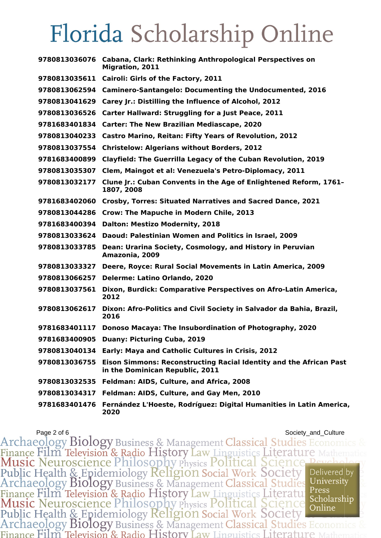|               | 9780813036076 Cabana, Clark: Rethinking Anthropological Perspectives on<br><b>Migration, 2011</b>            |
|---------------|--------------------------------------------------------------------------------------------------------------|
| 9780813035611 | Cairoli: Girls of the Factory, 2011                                                                          |
| 9780813062594 | <b>Caminero-Santangelo: Documenting the Undocumented, 2016</b>                                               |
| 9780813041629 | Carey Jr.: Distilling the Influence of Alcohol, 2012                                                         |
| 9780813036526 | Carter Hallward: Struggling for a Just Peace, 2011                                                           |
| 9781683401834 | <b>Carter: The New Brazilian Mediascape, 2020</b>                                                            |
| 9780813040233 | <b>Castro Marino, Reitan: Fifty Years of Revolution, 2012</b>                                                |
| 9780813037554 | <b>Christelow: Algerians without Borders, 2012</b>                                                           |
| 9781683400899 | Clayfield: The Guerrilla Legacy of the Cuban Revolution, 2019                                                |
| 9780813035307 | Clem, Maingot et al: Venezuela's Petro-Diplomacy, 2011                                                       |
| 9780813032177 | Clune Jr.: Cuban Convents in the Age of Enlightened Reform, 1761-<br>1807, 2008                              |
| 9781683402060 | Crosby, Torres: Situated Narratives and Sacred Dance, 2021                                                   |
| 9780813044286 | <b>Crow: The Mapuche in Modern Chile, 2013</b>                                                               |
| 9781683400394 | <b>Dalton: Mestizo Modernity, 2018</b>                                                                       |
| 9780813033624 | Daoud: Palestinian Women and Politics in Israel, 2009                                                        |
| 9780813033785 | Dean: Urarina Society, Cosmology, and History in Peruvian<br>Amazonia, 2009                                  |
| 9780813033327 | Deere, Royce: Rural Social Movements in Latin America, 2009                                                  |
| 9780813066257 | <b>Delerme: Latino Orlando, 2020</b>                                                                         |
| 9780813037561 | Dixon, Burdick: Comparative Perspectives on Afro-Latin America,<br>2012                                      |
| 9780813062617 | Dixon: Afro-Politics and Civil Society in Salvador da Bahia, Brazil,<br>2016                                 |
|               | 9781683401117 Donoso Macaya: The Insubordination of Photography, 2020                                        |
|               | 9781683400905 Duany: Picturing Cuba, 2019                                                                    |
| 9780813040134 | Early: Maya and Catholic Cultures in Crisis, 2012                                                            |
| 9780813036755 | <b>Eison Simmons: Reconstructing Racial Identity and the African Past</b><br>in the Dominican Republic, 2011 |
| 9780813032535 | Feldman: AIDS, Culture, and Africa, 2008                                                                     |
| 9780813034317 | Feldman: AIDS, Culture, and Gay Men, 2010                                                                    |
| 9781683401476 | Fernández L'Hoeste, Rodríguez: Digital Humanities in Latin America,<br>2020                                  |

Page 2 of 6<br>Archaeology Biology Business & Management Classical Studies Economics & Finance Film Television & Radio History Law Linguistics Literature Mathematic<br>Music Neuroscience Philosophy Physics Political Science Peychology<br>Public Health & Epidemiology Religion Social Work Society Delivered by<br>Archae Finance Film Television & Radio History Law Linguistics Literature Press<br>Music Neuroscience Philosophy Physics Political Science Scholarship<br>Public Health & Epidemiology Religion Social Work Society<br>Archaeology Biology Bus Press Finance Film Television & Radio History Law Linguistics Literature N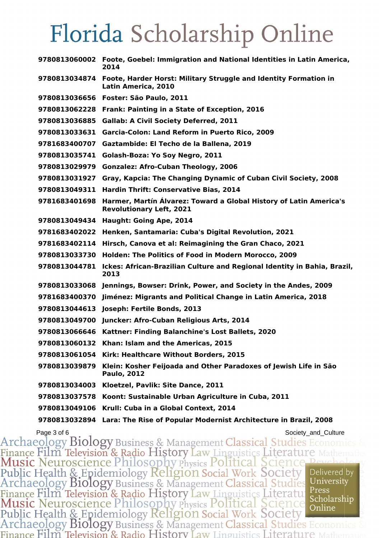|               | 9780813060002 Foote, Goebel: Immigration and National Identities in Latin America,<br>2014            |
|---------------|-------------------------------------------------------------------------------------------------------|
|               | 9780813034874 Foote, Harder Horst: Military Struggle and Identity Formation in<br>Latin America, 2010 |
|               | 9780813036656 Foster: São Paulo, 2011                                                                 |
| 9780813062228 | Frank: Painting in a State of Exception, 2016                                                         |
| 9780813036885 | <b>Gallab: A Civil Society Deferred, 2011</b>                                                         |
| 9780813033631 | Garcia-Colon: Land Reform in Puerto Rico, 2009                                                        |
| 9781683400707 | Gaztambide: El Techo de la Ballena, 2019                                                              |
| 9780813035741 | Golash-Boza: Yo Soy Negro, 2011                                                                       |
| 9780813029979 | <b>Gonzalez: Afro-Cuban Theology, 2006</b>                                                            |
| 9780813031927 | Gray, Kapcia: The Changing Dynamic of Cuban Civil Society, 2008                                       |
| 9780813049311 | <b>Hardin Thrift: Conservative Bias, 2014</b>                                                         |
| 9781683401698 | Harmer, Martín Álvarez: Toward a Global History of Latin America's<br><b>Revolutionary Left, 2021</b> |
| 9780813049434 | Haught: Going Ape, 2014                                                                               |
| 9781683402022 | Henken, Santamaria: Cuba's Digital Revolution, 2021                                                   |
| 9781683402114 | Hirsch, Canova et al: Reimagining the Gran Chaco, 2021                                                |
| 9780813033730 | Holden: The Politics of Food in Modern Morocco, 2009                                                  |
| 9780813044781 | Ickes: African-Brazilian Culture and Regional Identity in Bahia, Brazil,<br>2013                      |
|               | 9780813033068 Jennings, Bowser: Drink, Power, and Society in the Andes, 2009                          |
| 9781683400370 | Jiménez: Migrants and Political Change in Latin America, 2018                                         |
| 9780813044613 | Joseph: Fertile Bonds, 2013                                                                           |
| 9780813049700 | Juncker: Afro-Cuban Religious Arts, 2014                                                              |
|               | 9780813066646 Kattner: Finding Balanchine's Lost Ballets, 2020                                        |
| 9780813060132 | Khan: Islam and the Americas, 2015                                                                    |
| 9780813061054 | Kirk: Healthcare Without Borders, 2015                                                                |
| 9780813039879 | Klein: Kosher Feijoada and Other Paradoxes of Jewish Life in São<br><b>Paulo, 2012</b>                |
| 9780813034003 | Kloetzel, Pavlik: Site Dance, 2011                                                                    |
| 9780813037578 | Koont: Sustainable Urban Agriculture in Cuba, 2011                                                    |
| 9780813049106 | Krull: Cuba in a Global Context, 2014                                                                 |
| 9780813032894 | Lara: The Rise of Popular Modernist Architecture in Brazil, 2008                                      |

Page 3 of 6<br>Archaeology Biology Business & Management Classical Studies Economics & Finance Film Television & Radio History Law Linguistics Literature Mathema<br>Music Neuroscience Philosophy Physics Political Science Peycholo<br>Public Health & Epidemiology Religion Social Work Society Delivered by<br>Archaeology Finance Film Television & Radio History Law Linguistics Literature Press<br>Music Neuroscience Philosophy Physics Political Science Scholarship<br>Public Health & Epidemiology Religion Social Work Society<br>Archaeology Biology Bus Press Finance Film Television & Radio History Law Linguistics Literature 1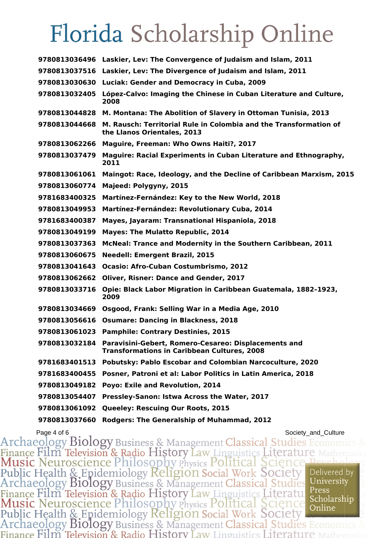|               | 9780813036496 Laskier, Lev: The Convergence of Judaism and Islam, 2011                                                   |
|---------------|--------------------------------------------------------------------------------------------------------------------------|
|               | 9780813037516 Laskier, Lev: The Divergence of Judaism and Islam, 2011                                                    |
| 9780813030630 | Luciak: Gender and Democracy in Cuba, 2009                                                                               |
| 9780813032405 | López-Calvo: Imaging the Chinese in Cuban Literature and Culture,<br>2008                                                |
|               | 9780813044828 M. Montana: The Abolition of Slavery in Ottoman Tunisia, 2013                                              |
| 9780813044668 | M. Rausch: Territorial Rule in Colombia and the Transformation of<br>the Llanos Orientales, 2013                         |
| 9780813062266 | <b>Maguire, Freeman: Who Owns Haiti?, 2017</b>                                                                           |
| 9780813037479 | Maguire: Racial Experiments in Cuban Literature and Ethnography,<br>2011                                                 |
| 9780813061061 | Maingot: Race, Ideology, and the Decline of Caribbean Marxism, 2015                                                      |
| 9780813060774 | Majeed: Polygyny, 2015                                                                                                   |
| 9781683400325 | Martínez-Fernández: Key to the New World, 2018                                                                           |
| 9780813049953 | Martínez-Fernández: Revolutionary Cuba, 2014                                                                             |
| 9781683400387 | Mayes, Jayaram: Transnational Hispaniola, 2018                                                                           |
| 9780813049199 | <b>Mayes: The Mulatto Republic, 2014</b>                                                                                 |
| 9780813037363 | McNeal: Trance and Modernity in the Southern Caribbean, 2011                                                             |
| 9780813060675 | <b>Needell: Emergent Brazil, 2015</b>                                                                                    |
| 9780813041643 | <b>Ocasio: Afro-Cuban Costumbrismo, 2012</b>                                                                             |
| 9780813062662 | <b>Oliver, Risner: Dance and Gender, 2017</b>                                                                            |
| 9780813033716 | Opie: Black Labor Migration in Caribbean Guatemala, 1882-1923,<br>2009                                                   |
| 9780813034669 | Osgood, Frank: Selling War in a Media Age, 2010                                                                          |
| 9780813056616 | <b>Osumare: Dancing in Blackness, 2018</b>                                                                               |
| 9780813061023 | <b>Pamphile: Contrary Destinies, 2015</b>                                                                                |
|               | 9780813032184 Paravisini-Gebert, Romero-Cesareo: Displacements and<br><b>Transformations in Caribbean Cultures, 2008</b> |
| 9781683401513 | Pobutsky: Pablo Escobar and Colombian Narcoculture, 2020                                                                 |
| 9781683400455 | Posner, Patroni et al: Labor Politics in Latin America, 2018                                                             |
| 9780813049182 | Poyo: Exile and Revolution, 2014                                                                                         |
| 9780813054407 | Pressley-Sanon: Istwa Across the Water, 2017                                                                             |
| 9780813061092 | Queeley: Rescuing Our Roots, 2015                                                                                        |
| 9780813037660 | <b>Rodgers: The Generalship of Muhammad, 2012</b>                                                                        |

Page 4 of 6<br>Archaeology Biology Business & Management Classical Studies Economics & Finance Film Television & Radio History Law Linguistics Literature N<br>Music Neuroscience Philosophy Physics Political Science Per Public Health & Epidemiology Religion Social Work Society<br>Archaeology Biology Business & Management Classical Studies Delivered by University Finance Film Television & Radio History Law Linguistics Literatule Press<br>Music Neuroscience Philosophy Physics Political Science Scholarshi<br>Public Health & Epidemiology Religion Social Work Society<br>Archaeology Biology Busi Press Scholarship Finance Film Television & Radio History Law Linguistics Literature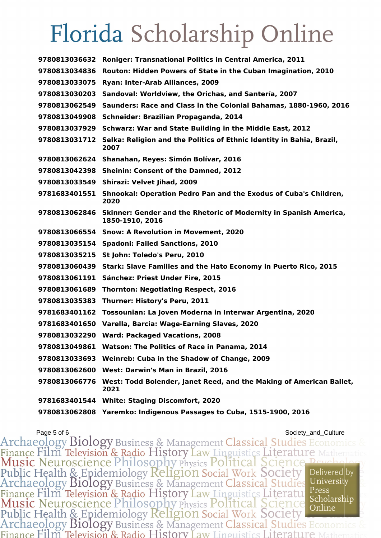| 9780813036632 | <b>Roniger: Transnational Politics in Central America, 2011</b>                             |
|---------------|---------------------------------------------------------------------------------------------|
| 9780813034836 | Routon: Hidden Powers of State in the Cuban Imagination, 2010                               |
| 9780813033075 | Ryan: Inter-Arab Alliances, 2009                                                            |
| 9780813030203 | Sandoval: Worldview, the Orichas, and Santería, 2007                                        |
| 9780813062549 | Saunders: Race and Class in the Colonial Bahamas, 1880-1960, 2016                           |
| 9780813049908 | Schneider: Brazilian Propaganda, 2014                                                       |
| 9780813037929 | Schwarz: War and State Building in the Middle East, 2012                                    |
|               | 9780813031712 Selka: Religion and the Politics of Ethnic Identity in Bahia, Brazil,<br>2007 |
|               | 9780813062624 Shanahan, Reyes: Simón Bolívar, 2016                                          |
|               | 9780813042398 Sheinin: Consent of the Damned, 2012                                          |
| 9780813033549 | Shirazi: Velvet Jihad, 2009                                                                 |
| 9781683401551 | Shnookal: Operation Pedro Pan and the Exodus of Cuba's Children,<br>2020                    |
| 9780813062846 | Skinner: Gender and the Rhetoric of Modernity in Spanish America,<br>1850-1910, 2016        |
|               | 9780813066554 Snow: A Revolution in Movement, 2020                                          |
|               | 9780813035154 Spadoni: Failed Sanctions, 2010                                               |
| 9780813035215 | St John: Toledo's Peru, 2010                                                                |
| 9780813060439 | Stark: Slave Families and the Hato Economy in Puerto Rico, 2015                             |
| 9780813061191 | Sánchez: Priest Under Fire, 2015                                                            |
| 9780813061689 | <b>Thornton: Negotiating Respect, 2016</b>                                                  |
| 9780813035383 | Thurner: History's Peru, 2011                                                               |
| 9781683401162 | Tossounian: La Joven Moderna in Interwar Argentina, 2020                                    |
| 9781683401650 | Varella, Barcia: Wage-Earning Slaves, 2020                                                  |
| 9780813032290 | <b>Ward: Packaged Vacations, 2008</b>                                                       |
| 9780813049861 | <b>Watson: The Politics of Race in Panama, 2014</b>                                         |
| 9780813033693 | Weinreb: Cuba in the Shadow of Change, 2009                                                 |
| 9780813062600 | West: Darwin's Man in Brazil, 2016                                                          |
| 9780813066776 | West: Todd Bolender, Janet Reed, and the Making of American Ballet,<br>2021                 |
|               | 9781683401544 White: Staging Discomfort, 2020                                               |
|               | 9780813062808 Yaremko: Indigenous Passages to Cuba, 1515-1900, 2016                         |

Page 5 of 6<br>Archaeology Biology Business & Management Classical Studies Economics & Finance Film Television & Radio History Law Linguistics Literature Mathema<br>Music Neuroscience Philosophy Physics Political Science Peycholo<br>Public Health & Epidemiology Religion Social Work Society Delivered by<br>Archaeology Finance Film Television & Radio History Law Linguistics Literature Press<br>Music Neuroscience Philosophy Physics Political Science Scholarship<br>Public Health & Epidemiology Religion Social Work Society<br>Archaeology Biology Bus Press Finance Film Television & Radio History Law Linguistics Literature 1